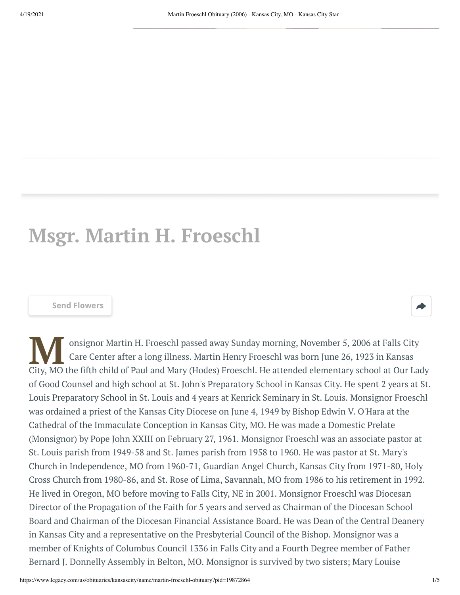## **Msgr. Martin H. Froeschl**

## **[Send Flowers](https://sympathy.legacy.com/en-us/funeral-flowers/name/martin-froeschl-funeral-flowers/p19872864/?affiliateId=1164&pm=205)**

Care Center after a long illness. Martin Henry Froeschl was born June 26, 1923 in Kansas<br>City, MO the fifth child of Paul and Mary (Hodes) Froeschl. He attended elementary school at Our Lady onsignor Martin H. Froeschl passed away Sunday morning, November 5, 2006 at Falls City Care Center after a long illness. Martin Henry Froeschl was born June 26, 1923 in Kansas of Good Counsel and high school at St. John's Preparatory School in Kansas City. He spent 2 years at St. Louis Preparatory School in St. Louis and 4 years at Kenrick Seminary in St. Louis. Monsignor Froeschl was ordained a priest of the Kansas City Diocese on June 4, 1949 by Bishop Edwin V. O'Hara at the Cathedral of the Immaculate Conception in Kansas City, MO. He was made a Domestic Prelate (Monsignor) by Pope John XXIII on February 27, 1961. Monsignor Froeschl was an associate pastor at St. Louis parish from 1949-58 and St. James parish from 1958 to 1960. He was pastor at St. Mary's Church in Independence, MO from 1960-71, Guardian Angel Church, Kansas City from 1971-80, Holy Cross Church from 1980-86, and St. Rose of Lima, Savannah, MO from 1986 to his retirement in 1992. He lived in Oregon, MO before moving to Falls City, NE in 2001. Monsignor Froeschl was Diocesan Director of the Propagation of the Faith for 5 years and served as Chairman of the Diocesan School Board and Chairman of the Diocesan Financial Assistance Board. He was Dean of the Central Deanery in Kansas City and a representative on the Presbyterial Council of the Bishop. Monsignor was a member of Knights of Columbus Council 1336 in Falls City and a Fourth Degree member of Father Bernard J. Donnelly Assembly in Belton, MO. Monsignor is survived by two sisters; Mary Louise